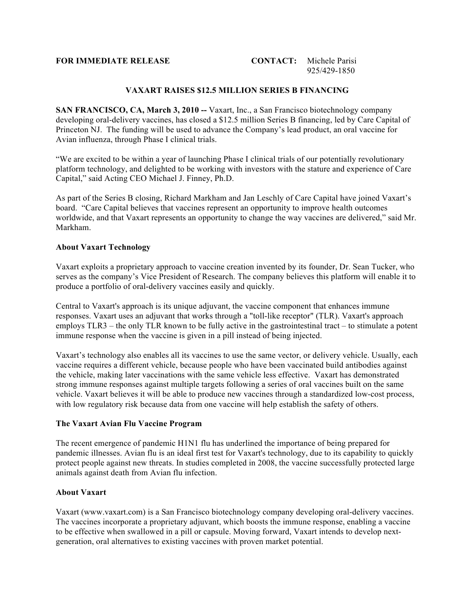### **FOR IMMEDIATE RELEASE CONTACT:** Michele Parisi

# 925/429-1850

## **VAXART RAISES \$12.5 MILLION SERIES B FINANCING**

**SAN FRANCISCO, CA, March 3, 2010 --** Vaxart, Inc., a San Francisco biotechnology company developing oral-delivery vaccines, has closed a \$12.5 million Series B financing, led by Care Capital of Princeton NJ. The funding will be used to advance the Company's lead product, an oral vaccine for Avian influenza, through Phase I clinical trials.

"We are excited to be within a year of launching Phase I clinical trials of our potentially revolutionary platform technology, and delighted to be working with investors with the stature and experience of Care Capital," said Acting CEO Michael J. Finney, Ph.D.

As part of the Series B closing, Richard Markham and Jan Leschly of Care Capital have joined Vaxart's board. "Care Capital believes that vaccines represent an opportunity to improve health outcomes worldwide, and that Vaxart represents an opportunity to change the way vaccines are delivered," said Mr. Markham.

#### **About Vaxart Technology**

Vaxart exploits a proprietary approach to vaccine creation invented by its founder, Dr. Sean Tucker, who serves as the company's Vice President of Research. The company believes this platform will enable it to produce a portfolio of oral-delivery vaccines easily and quickly.

Central to Vaxart's approach is its unique adjuvant, the vaccine component that enhances immune responses. Vaxart uses an adjuvant that works through a "toll-like receptor" (TLR). Vaxart's approach employs TLR3 – the only TLR known to be fully active in the gastrointestinal tract – to stimulate a potent immune response when the vaccine is given in a pill instead of being injected.

Vaxart's technology also enables all its vaccines to use the same vector, or delivery vehicle. Usually, each vaccine requires a different vehicle, because people who have been vaccinated build antibodies against the vehicle, making later vaccinations with the same vehicle less effective. Vaxart has demonstrated strong immune responses against multiple targets following a series of oral vaccines built on the same vehicle. Vaxart believes it will be able to produce new vaccines through a standardized low-cost process, with low regulatory risk because data from one vaccine will help establish the safety of others.

#### **The Vaxart Avian Flu Vaccine Program**

The recent emergence of pandemic H1N1 flu has underlined the importance of being prepared for pandemic illnesses. Avian flu is an ideal first test for Vaxart's technology, due to its capability to quickly protect people against new threats. In studies completed in 2008, the vaccine successfully protected large animals against death from Avian flu infection.

#### **About Vaxart**

Vaxart (www.vaxart.com) is a San Francisco biotechnology company developing oral-delivery vaccines. The vaccines incorporate a proprietary adjuvant, which boosts the immune response, enabling a vaccine to be effective when swallowed in a pill or capsule. Moving forward, Vaxart intends to develop nextgeneration, oral alternatives to existing vaccines with proven market potential.